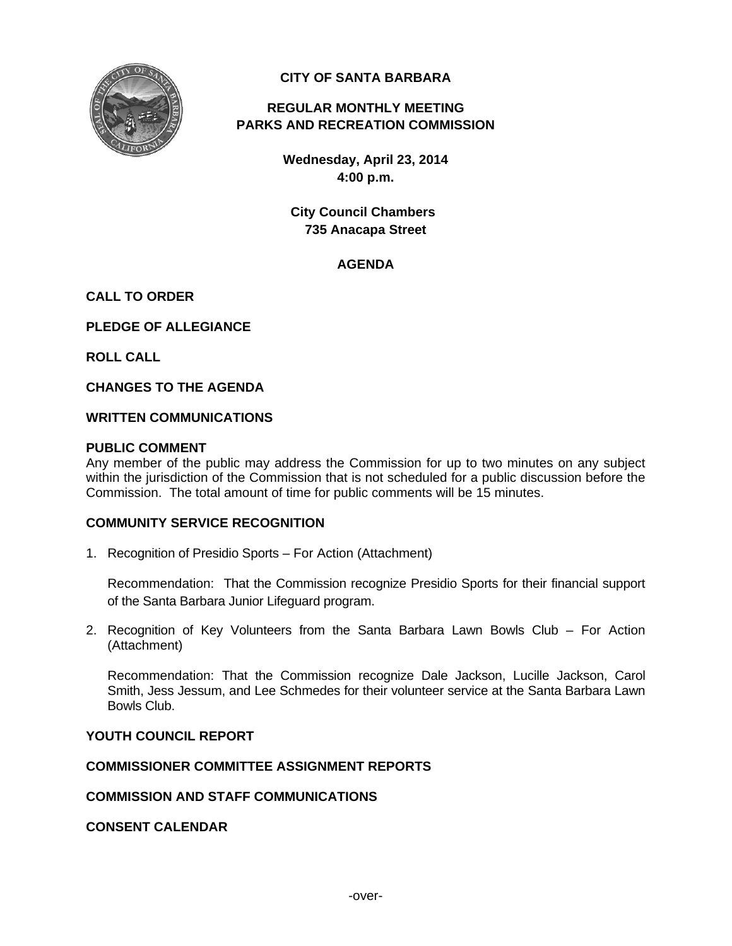

## **CITY OF SANTA BARBARA**

# **REGULAR MONTHLY MEETING PARKS AND RECREATION COMMISSION**

**Wednesday, April 23, 2014 4:00 p.m.** 

**City Council Chambers 735 Anacapa Street** 

## **AGENDA**

## **CALL TO ORDER**

**PLEDGE OF ALLEGIANCE** 

**ROLL CALL** 

**CHANGES TO THE AGENDA** 

#### **WRITTEN COMMUNICATIONS**

#### **PUBLIC COMMENT**

Any member of the public may address the Commission for up to two minutes on any subject within the jurisdiction of the Commission that is not scheduled for a public discussion before the Commission. The total amount of time for public comments will be 15 minutes.

#### **COMMUNITY SERVICE RECOGNITION**

1. Recognition of Presidio Sports – For Action (Attachment)

 Recommendation: That the Commission recognize Presidio Sports for their financial support of the Santa Barbara Junior Lifeguard program.

2. Recognition of Key Volunteers from the Santa Barbara Lawn Bowls Club – For Action (Attachment)

 Recommendation: That the Commission recognize Dale Jackson, Lucille Jackson, Carol Smith, Jess Jessum, and Lee Schmedes for their volunteer service at the Santa Barbara Lawn Bowls Club.

## **YOUTH COUNCIL REPORT**

## **COMMISSIONER COMMITTEE ASSIGNMENT REPORTS**

#### **COMMISSION AND STAFF COMMUNICATIONS**

#### **CONSENT CALENDAR**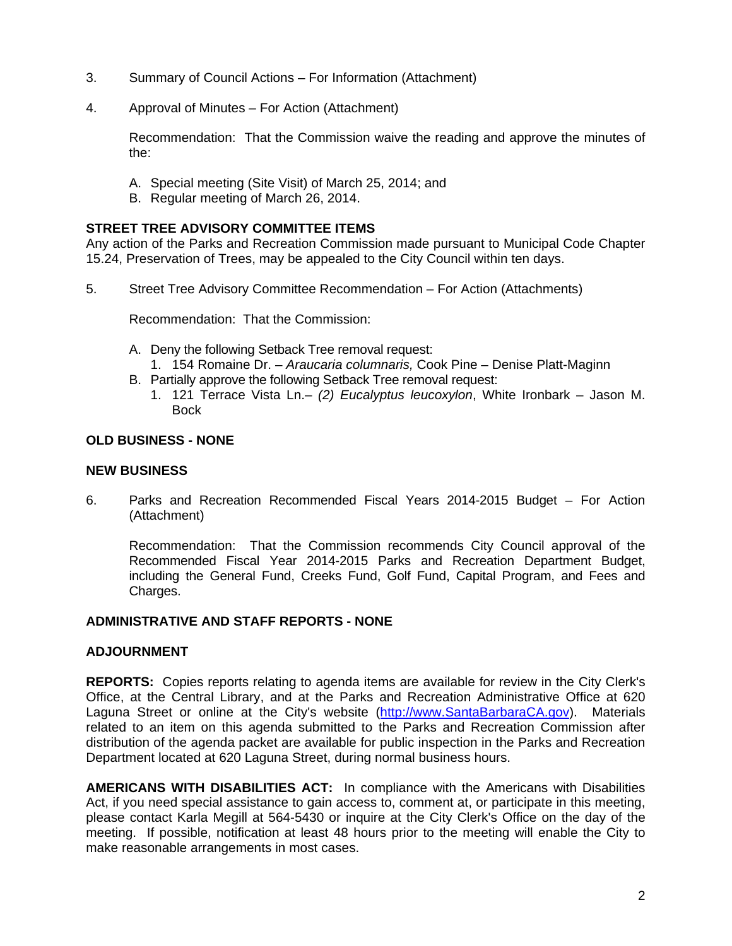- 3. Summary of Council Actions For Information (Attachment)
- 4. Approval of Minutes For Action (Attachment)

 Recommendation: That the Commission waive the reading and approve the minutes of the:

- A. Special meeting (Site Visit) of March 25, 2014; and
- B. Regular meeting of March 26, 2014.

## **STREET TREE ADVISORY COMMITTEE ITEMS**

Any action of the Parks and Recreation Commission made pursuant to Municipal Code Chapter 15.24, Preservation of Trees, may be appealed to the City Council within ten days.

5. Street Tree Advisory Committee Recommendation – For Action (Attachments)

Recommendation: That the Commission:

- A. Deny the following Setback Tree removal request:
	- 1. 154 Romaine Dr. *Araucaria columnaris,* Cook Pine Denise Platt-Maginn
- B. Partially approve the following Setback Tree removal request:
	- 1. 121 Terrace Vista Ln.– *(2) Eucalyptus leucoxylon*, White Ironbark Jason M. Bock

#### **OLD BUSINESS - NONE**

#### **NEW BUSINESS**

6. Parks and Recreation Recommended Fiscal Years 2014-2015 Budget – For Action (Attachment)

 Recommendation: That the Commission recommends City Council approval of the Recommended Fiscal Year 2014-2015 Parks and Recreation Department Budget, including the General Fund, Creeks Fund, Golf Fund, Capital Program, and Fees and Charges.

#### **ADMINISTRATIVE AND STAFF REPORTS - NONE**

#### **ADJOURNMENT**

**REPORTS:** Copies reports relating to agenda items are available for review in the City Clerk's Office, at the Central Library, and at the Parks and Recreation Administrative Office at 620 Laguna Street or online at the City's website (http://www.SantaBarbaraCA.gov). Materials related to an item on this agenda submitted to the Parks and Recreation Commission after distribution of the agenda packet are available for public inspection in the Parks and Recreation Department located at 620 Laguna Street, during normal business hours.

**AMERICANS WITH DISABILITIES ACT:** In compliance with the Americans with Disabilities Act, if you need special assistance to gain access to, comment at, or participate in this meeting, please contact Karla Megill at 564-5430 or inquire at the City Clerk's Office on the day of the meeting. If possible, notification at least 48 hours prior to the meeting will enable the City to make reasonable arrangements in most cases.